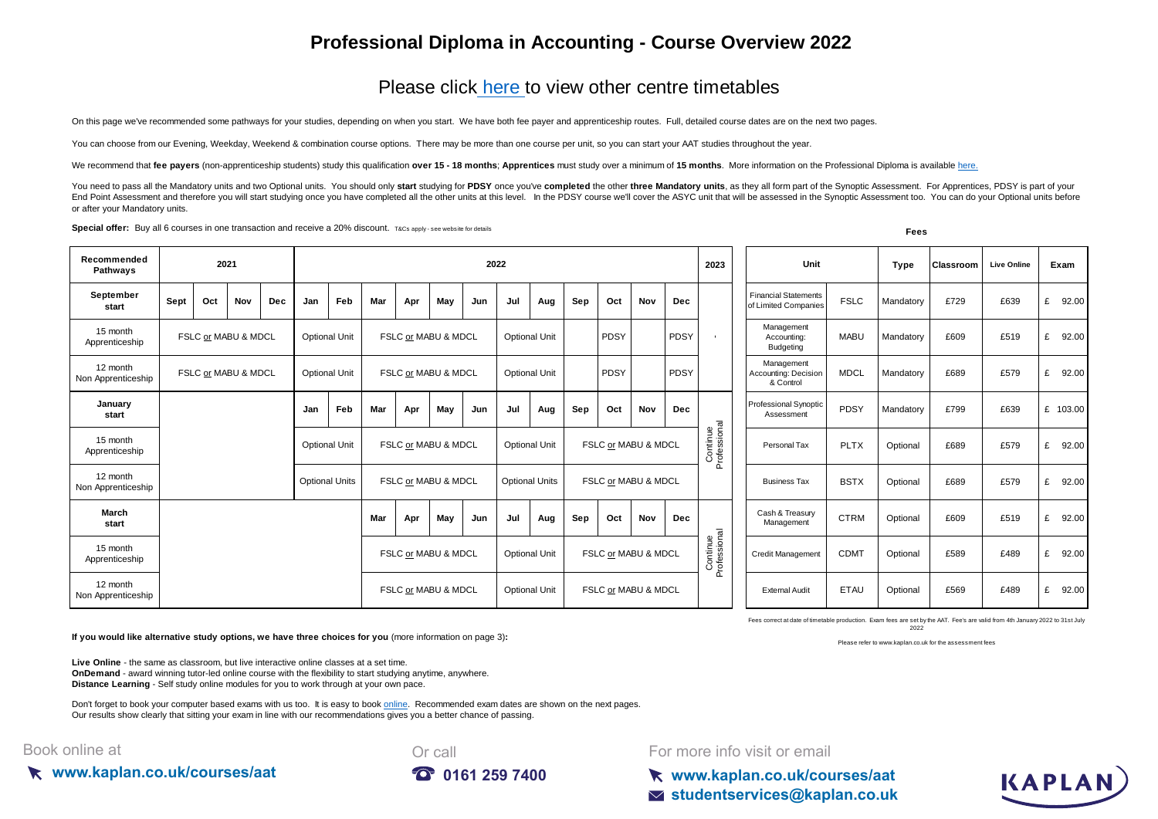## **Professional Diploma in Accounting - Course Overview 2022**

## Please click here to view other centre timetables

On this page we've recommended some pathways for your studies, depending on when you start. We have both fee payer and apprenticeship routes. Full, detailed course dates are on the next two pages.

You can choose from our Evening, Weekday, Weekend & combination course options. There may be more than one course per unit, so you can start your AAT studies throughout the year.

We recommend that fee payers (non-apprenticeship students) study this qualification over 15 - 18 months; Apprentices must study over a minimum of 15 months. More information on the Professional Diploma is available here.

You need to pass all the Mandatory units and two Optional units. You should only start studying for PDSY once you've completed the other three Mandatory units, as they all form part of the Synoptic Assessment. For Apprenti End Point Assessment and therefore you will start studying once you have completed all the other units at this level. In the PDSY course we'll cover the ASYC unit that will be assessed in the Synoptic Assessment too. You c or after your Mandatory units.

**Special offer:** Buy all 6 courses in one transaction and receive a 20% discount. T&Cs apply - see website for details **Fees** 

| Recommended<br>Pathways        | 2021                |  |     |     | 2022                 |                       |                                             |     |                      |                      |     |                       | 2023                | Unit                  |                          | <b>Type</b>                                     | <b>Classroom</b>  | <b>Live Online</b>  | Exam                                                |             |            |         |         |            |
|--------------------------------|---------------------|--|-----|-----|----------------------|-----------------------|---------------------------------------------|-----|----------------------|----------------------|-----|-----------------------|---------------------|-----------------------|--------------------------|-------------------------------------------------|-------------------|---------------------|-----------------------------------------------------|-------------|------------|---------|---------|------------|
| September<br>start             | Sept                |  | Oct | Nov | <b>Dec</b>           | Jan                   | <b>Feb</b>                                  | Mar | Apr                  | May                  | Jun | Jul                   | Aug                 | Sep                   | Oct                      | Nov                                             | <b>Dec</b>        |                     | <b>Financial Statements</b><br>of Limited Companies | <b>FSLC</b> | Mandatory  | £729    | £639    | £ 92.00    |
| 15 month<br>Apprenticeship     | FSLC or MABU & MDCL |  |     |     |                      | <b>Optional Unit</b>  | FSLC or MABU & MDCL                         |     |                      | <b>Optional Unit</b> |     | PDSY                  |                     | PDSY                  |                          | Management<br>Accounting:<br>Budgeting          | <b>MABU</b>       | Mandatory           | £609                                                | £519        | £<br>92.00 |         |         |            |
| 12 month<br>Non Apprenticeship | FSLC or MABU & MDCL |  |     |     | <b>Optional Unit</b> |                       | FSLC or MABU & MDCL                         |     | <b>Optional Unit</b> |                      |     | PDSY                  |                     | PDSY                  |                          | Management<br>Accounting: Decision<br>& Control | <b>MDCL</b>       | Mandatory           | £689                                                | £579        | £ 92.00    |         |         |            |
| January<br>start               |                     |  |     |     |                      | Jan                   | Feb                                         | Mar | Apr                  | May                  | Jun | Jul                   | Aug                 | Sep                   | Oct                      | Nov                                             | <b>Dec</b>        |                     | <b>Professional Synoptic</b><br>Assessment          | PDSY        | Mandatory  | £799    | £639    | £ 103.00   |
| 15 month<br>Apprenticeship     |                     |  |     |     |                      | <b>Optional Unit</b>  | FSLC or MABU & MDCL                         |     |                      | <b>Optional Unit</b> |     |                       | FSLC or MABU & MDCL |                       | Continue<br>Professional | Personal Tax                                    | <b>PLTX</b>       | Optional            | £689                                                | £579        | £ 92.00    |         |         |            |
| 12 month<br>Non Apprenticeship |                     |  |     |     |                      | <b>Optional Units</b> |                                             |     | FSLC or MABU & MDCL  |                      |     | <b>Optional Units</b> |                     | FSLC or MABU & MDCL   |                          |                                                 | $\overline{0}$    | <b>Business Tax</b> | <b>BSTX</b>                                         | Optional    | £689       | £579    | £ 92.00 |            |
| March<br>start                 |                     |  |     |     |                      |                       |                                             | Mar | Apr                  | May                  | Jun | Jul                   | Aug                 | Sep                   | Oct                      | Nov                                             | <b>Dec</b>        |                     | Cash & Treasury<br>Management                       | <b>CTRM</b> | Optional   | £609    | £519    | £<br>92.00 |
| 15 month<br>Apprenticeship     |                     |  |     |     |                      | FSLC or MABU & MDCL   |                                             |     |                      | <b>Optional Unit</b> |     |                       | FSLC or MABU & MDCL |                       |                          | Continue<br>Professional                        | Credit Management | <b>CDMT</b>         | Optional                                            | £589        | £489       | £ 92.00 |         |            |
| 12 month<br>Non Apprenticeship |                     |  |     |     |                      |                       | FSLC or MABU & MDCL<br><b>Optional Unit</b> |     |                      | FSLC or MABU & MDCL  |     |                       |                     | <b>External Audit</b> | ETAU                     | Optional                                        | £569              | £489                | £ 92.00                                             |             |            |         |         |            |

Fees correct at date of timetable production. Exam fees are set by the AAT. Fee's are valid from 4th January 2022 to 31st July 2022 Please refer to www.kaplan.co.uk for the assessment fees

**If you would like alternative study options, we have three choices for you** (more information on page 3)**:**

**Live Online** - the same as classroom, but live interactive online classes at a set time. **OnDemand** - award winning tutor-led online course with the flexibility to start studying anytime, anywhere. **Distance Learning** - Self study online modules for you to work through at your own pace.

[Don't forget to book your computer based exams with us too. It is easy to book online](https://kaplan.co.uk/exams). Recommended exam dates are shown on the next pages. [Our results show clear](https://kaplan.co.uk/exams)ly that sitting your exam in line with our recommendations gives you a better chance of passing.

## Book online at





For more info visit or email

**www.kaplan.co.uk/courses/aat studentservices@kaplan.co.uk**